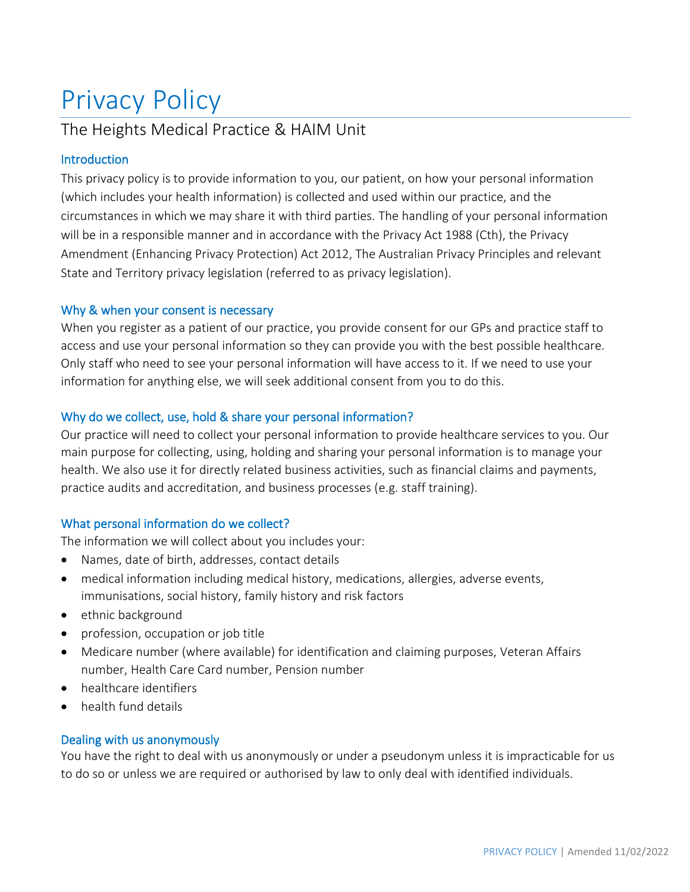# Privacy Policy

# The Heights Medical Practice & HAIM Unit

# Introduction

This privacy policy is to provide information to you, our patient, on how your personal information (which includes your health information) is collected and used within our practice, and the circumstances in which we may share it with third parties. The handling of your personal information will be in a responsible manner and in accordance with the Privacy Act 1988 (Cth), the Privacy Amendment (Enhancing Privacy Protection) Act 2012, The Australian Privacy Principles and relevant State and Territory privacy legislation (referred to as privacy legislation).

# Why & when your consent is necessary

When you register as a patient of our practice, you provide consent for our GPs and practice staff to access and use your personal information so they can provide you with the best possible healthcare. Only staff who need to see your personal information will have access to it. If we need to use your information for anything else, we will seek additional consent from you to do this.

# Why do we collect, use, hold & share your personal information?

Our practice will need to collect your personal information to provide healthcare services to you. Our main purpose for collecting, using, holding and sharing your personal information is to manage your health. We also use it for directly related business activities, such as financial claims and payments, practice audits and accreditation, and business processes (e.g. staff training).

# What personal information do we collect?

The information we will collect about you includes your:

- Names, date of birth, addresses, contact details
- medical information including medical history, medications, allergies, adverse events, immunisations, social history, family history and risk factors
- ethnic background
- profession, occupation or job title
- Medicare number (where available) for identification and claiming purposes, Veteran Affairs number, Health Care Card number, Pension number
- healthcare identifiers
- health fund details

# Dealing with us anonymously

You have the right to deal with us anonymously or under a pseudonym unless it is impracticable for us to do so or unless we are required or authorised by law to only deal with identified individuals.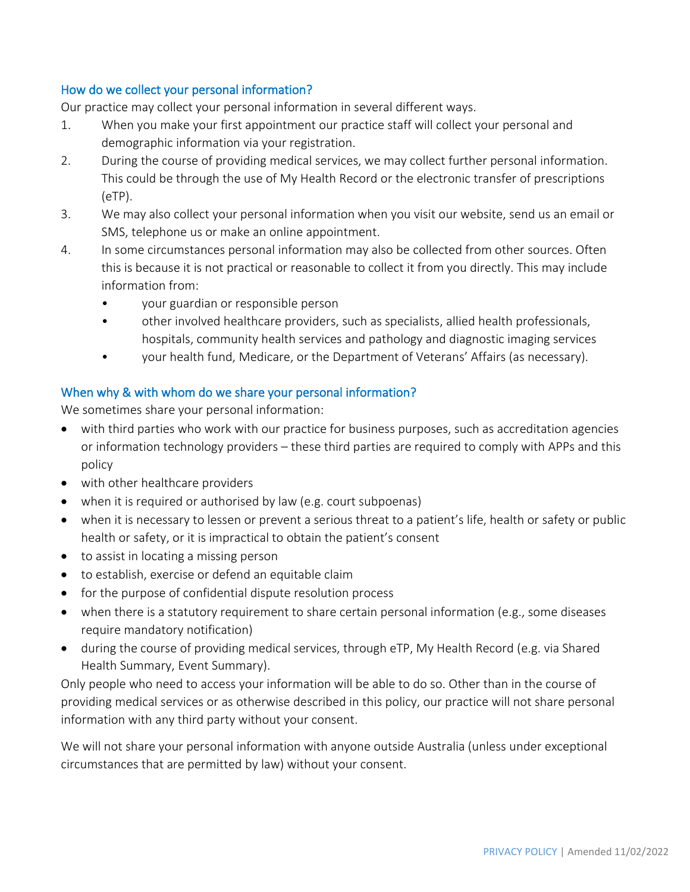### How do we collect your personal information?

Our practice may collect your personal information in several different ways.

- 1. When you make your first appointment our practice staff will collect your personal and demographic information via your registration.
- 2. During the course of providing medical services, we may collect further personal information. This could be through the use of My Health Record or the electronic transfer of prescriptions (eTP).
- 3. We may also collect your personal information when you visit our website, send us an email or SMS, telephone us or make an online appointment.
- 4. In some circumstances personal information may also be collected from other sources. Often this is because it is not practical or reasonable to collect it from you directly. This may include information from:
	- your guardian or responsible person
	- other involved healthcare providers, such as specialists, allied health professionals, hospitals, community health services and pathology and diagnostic imaging services
	- your health fund, Medicare, or the Department of Veterans' Affairs (as necessary).

#### When why & with whom do we share your personal information?

We sometimes share your personal information:

- with third parties who work with our practice for business purposes, such as accreditation agencies or information technology providers – these third parties are required to comply with APPs and this policy
- with other healthcare providers
- when it is required or authorised by law (e.g. court subpoenas)
- when it is necessary to lessen or prevent a serious threat to a patient's life, health or safety or public health or safety, or it is impractical to obtain the patient's consent
- to assist in locating a missing person
- to establish, exercise or defend an equitable claim
- for the purpose of confidential dispute resolution process
- when there is a statutory requirement to share certain personal information (e.g., some diseases require mandatory notification)
- during the course of providing medical services, through eTP, My Health Record (e.g. via Shared Health Summary, Event Summary).

Only people who need to access your information will be able to do so. Other than in the course of providing medical services or as otherwise described in this policy, our practice will not share personal information with any third party without your consent.

We will not share your personal information with anyone outside Australia (unless under exceptional circumstances that are permitted by law) without your consent.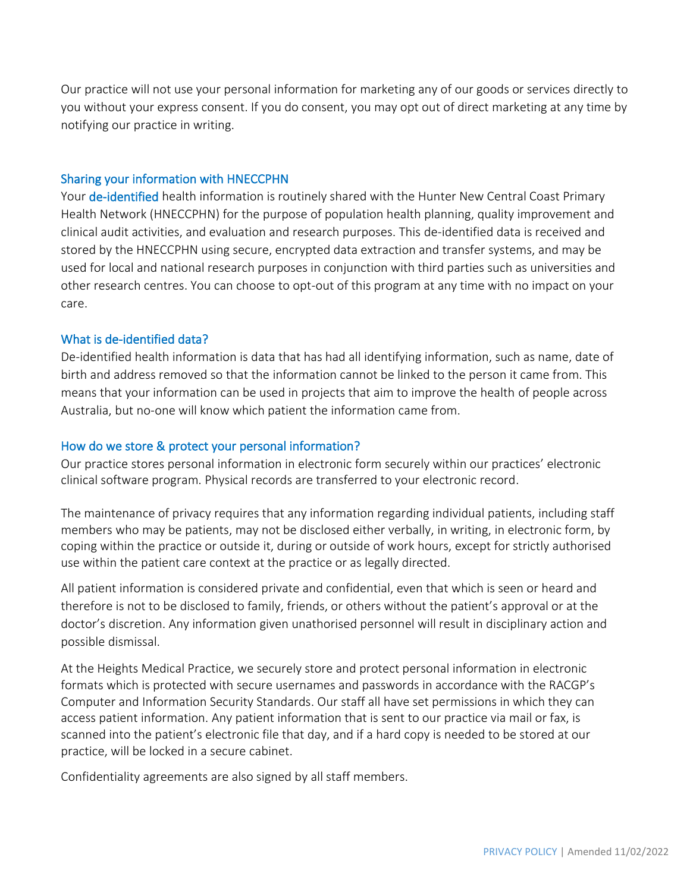Our practice will not use your personal information for marketing any of our goods or services directly to you without your express consent. If you do consent, you may opt out of direct marketing at any time by notifying our practice in writing.

#### Sharing your information with HNECCPHN

Your de-identified health information is routinely shared with the Hunter New Central Coast Primary Health Network (HNECCPHN) for the purpose of population health planning, quality improvement and clinical audit activities, and evaluation and research purposes. This de-identified data is received and stored by the HNECCPHN using secure, encrypted data extraction and transfer systems, and may be used for local and national research purposes in conjunction with third parties such as universities and other research centres. You can choose to opt-out of this program at any time with no impact on your care.

#### What is de-identified data?

De-identified health information is data that has had all identifying information, such as name, date of birth and address removed so that the information cannot be linked to the person it came from. This means that your information can be used in projects that aim to improve the health of people across Australia, but no-one will know which patient the information came from.

#### How do we store & protect your personal information?

Our practice stores personal information in electronic form securely within our practices' electronic clinical software program. Physical records are transferred to your electronic record.

The maintenance of privacy requires that any information regarding individual patients, including staff members who may be patients, may not be disclosed either verbally, in writing, in electronic form, by coping within the practice or outside it, during or outside of work hours, except for strictly authorised use within the patient care context at the practice or as legally directed.

All patient information is considered private and confidential, even that which is seen or heard and therefore is not to be disclosed to family, friends, or others without the patient's approval or at the doctor's discretion. Any information given unathorised personnel will result in disciplinary action and possible dismissal.

At the Heights Medical Practice, we securely store and protect personal information in electronic formats which is protected with secure usernames and passwords in accordance with the RACGP's Computer and Information Security Standards. Our staff all have set permissions in which they can access patient information. Any patient information that is sent to our practice via mail or fax, is scanned into the patient's electronic file that day, and if a hard copy is needed to be stored at our practice, will be locked in a secure cabinet.

Confidentiality agreements are also signed by all staff members.